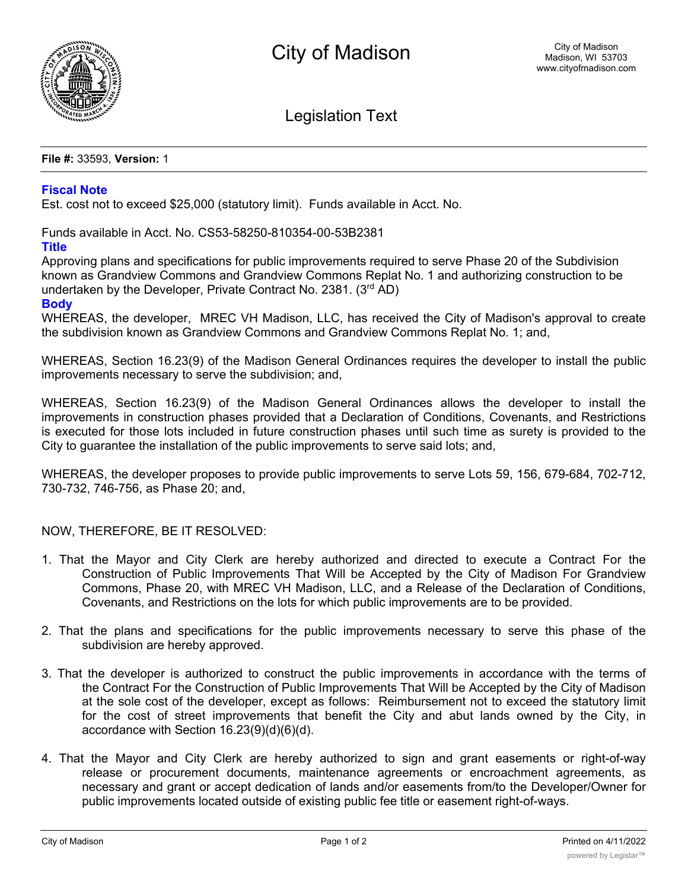

Legislation Text

**File #:** 33593, **Version:** 1

## **Fiscal Note**

Est. cost not to exceed \$25,000 (statutory limit). Funds available in Acct. No.

Funds available in Acct. No. CS53-58250-810354-00-53B2381

## **Title**

Approving plans and specifications for public improvements required to serve Phase 20 of the Subdivision known as Grandview Commons and Grandview Commons Replat No. 1 and authorizing construction to be undertaken by the Developer, Private Contract No. 2381. (3rd AD)

## **Body**

WHEREAS, the developer, MREC VH Madison, LLC, has received the City of Madison's approval to create the subdivision known as Grandview Commons and Grandview Commons Replat No. 1; and,

WHEREAS, Section 16.23(9) of the Madison General Ordinances requires the developer to install the public improvements necessary to serve the subdivision; and,

WHEREAS, Section 16.23(9) of the Madison General Ordinances allows the developer to install the improvements in construction phases provided that a Declaration of Conditions, Covenants, and Restrictions is executed for those lots included in future construction phases until such time as surety is provided to the City to guarantee the installation of the public improvements to serve said lots; and,

WHEREAS, the developer proposes to provide public improvements to serve Lots 59, 156, 679-684, 702-712, 730-732, 746-756, as Phase 20; and,

NOW, THEREFORE, BE IT RESOLVED:

- 1. That the Mayor and City Clerk are hereby authorized and directed to execute a Contract For the Construction of Public Improvements That Will be Accepted by the City of Madison For Grandview Commons, Phase 20, with MREC VH Madison, LLC, and a Release of the Declaration of Conditions, Covenants, and Restrictions on the lots for which public improvements are to be provided.
- 2. That the plans and specifications for the public improvements necessary to serve this phase of the subdivision are hereby approved.
- 3. That the developer is authorized to construct the public improvements in accordance with the terms of the Contract For the Construction of Public Improvements That Will be Accepted by the City of Madison at the sole cost of the developer, except as follows: Reimbursement not to exceed the statutory limit for the cost of street improvements that benefit the City and abut lands owned by the City, in accordance with Section 16.23(9)(d)(6)(d).
- 4. That the Mayor and City Clerk are hereby authorized to sign and grant easements or right-of-way release or procurement documents, maintenance agreements or encroachment agreements, as necessary and grant or accept dedication of lands and/or easements from/to the Developer/Owner for public improvements located outside of existing public fee title or easement right-of-ways.